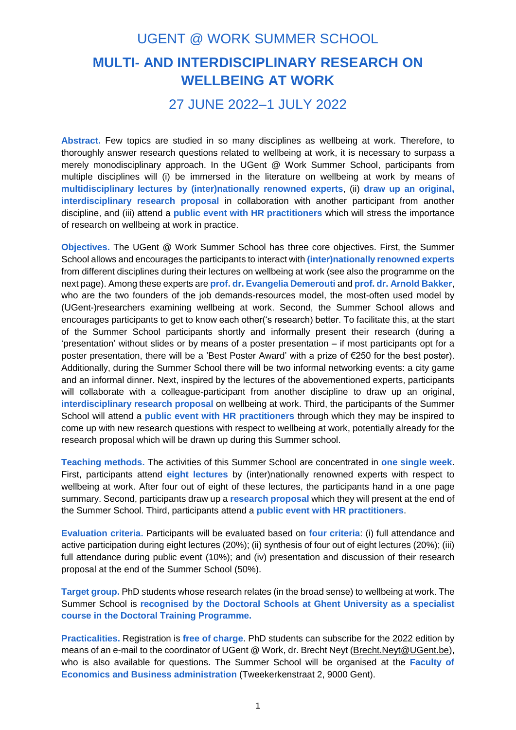## UGENT @ WORK SUMMER SCHOOL **MULTI- AND INTERDISCIPLINARY RESEARCH ON WELLBEING AT WORK**

## 27 JUNE 2022–1 JULY 2022

**Abstract.** Few topics are studied in so many disciplines as wellbeing at work. Therefore, to thoroughly answer research questions related to wellbeing at work, it is necessary to surpass a merely monodisciplinary approach. In the UGent @ Work Summer School, participants from multiple disciplines will (i) be immersed in the literature on wellbeing at work by means of **multidisciplinary lectures by (inter)nationally renowned experts**, (ii) **draw up an original, interdisciplinary research proposal** in collaboration with another participant from another discipline, and (iii) attend a **public event with HR practitioners** which will stress the importance of research on wellbeing at work in practice.

**Objectives.** The UGent @ Work Summer School has three core objectives. First, the Summer School allows and encourages the participants to interact with **(inter)nationally renowned experts** from different disciplines during their lectures on wellbeing at work (see also the programme on the next page). Among these experts are **prof. dr. Evangelia Demerouti** and **prof. dr. Arnold Bakker**, who are the two founders of the job demands-resources model, the most-often used model by (UGent-)researchers examining wellbeing at work. Second, the Summer School allows and encourages participants to get to know each other('s research) better. To facilitate this, at the start of the Summer School participants shortly and informally present their research (during a 'presentation' without slides or by means of a poster presentation – if most participants opt for a poster presentation, there will be a 'Best Poster Award' with a prize of €250 for the best poster). Additionally, during the Summer School there will be two informal networking events: a city game and an informal dinner. Next, inspired by the lectures of the abovementioned experts, participants will collaborate with a colleague-participant from another discipline to draw up an original, **interdisciplinary research proposal** on wellbeing at work. Third, the participants of the Summer School will attend a **public event with HR practitioners** through which they may be inspired to come up with new research questions with respect to wellbeing at work, potentially already for the research proposal which will be drawn up during this Summer school.

**Teaching methods.** The activities of this Summer School are concentrated in **one single week**. First, participants attend **eight lectures** by (inter)nationally renowned experts with respect to wellbeing at work. After four out of eight of these lectures, the participants hand in a one page summary. Second, participants draw up a **research proposal** which they will present at the end of the Summer School. Third, participants attend a **public event with HR practitioners**.

**Evaluation criteria.** Participants will be evaluated based on **four criteria**: (i) full attendance and active participation during eight lectures (20%); (ii) synthesis of four out of eight lectures (20%); (iii) full attendance during public event (10%); and (iv) presentation and discussion of their research proposal at the end of the Summer School (50%).

**Target group.** PhD students whose research relates (in the broad sense) to wellbeing at work. The Summer School is **recognised by the Doctoral Schools at Ghent University as a specialist course in the Doctoral Training Programme.**

**Practicalities.** Registration is **free of charge**. PhD students can subscribe for the 2022 edition by means of an e-mail to the coordinator of UGent @ Work, dr. Brecht Neyt [\(Brecht.Neyt@UGent.be\)](mailto:Brecht.Neyt@UGent.be), who is also available for questions. The Summer School will be organised at the **Faculty of Economics and Business administration** (Tweekerkenstraat 2, 9000 Gent).